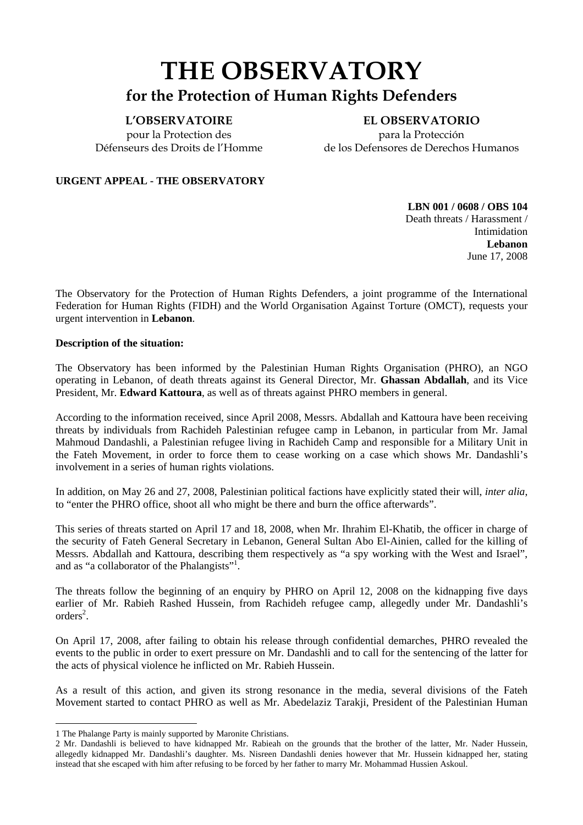# **THE OBSERVATORY for the Protection of Human Rights Defenders**

#### **L'OBSERVATOIRE**

pour la Protection des Défenseurs des Droits de l'Homme

**EL OBSERVATORIO**  para la Protección de los Defensores de Derechos Humanos

#### **URGENT APPEAL - THE OBSERVATORY**

**LBN 001 / 0608 / OBS 104**  Death threats / Harassment / Intimidation **Lebanon**  June 17, 2008

The Observatory for the Protection of Human Rights Defenders, a joint programme of the International Federation for Human Rights (FIDH) and the World Organisation Against Torture (OMCT), requests your urgent intervention in **Lebanon**.

#### **Description of the situation:**

The Observatory has been informed by the Palestinian Human Rights Organisation (PHRO), an NGO operating in Lebanon, of death threats against its General Director, Mr. **Ghassan Abdallah**, and its Vice President, Mr. **Edward Kattoura**, as well as of threats against PHRO members in general.

According to the information received, since April 2008, Messrs. Abdallah and Kattoura have been receiving threats by individuals from Rachideh Palestinian refugee camp in Lebanon, in particular from Mr. Jamal Mahmoud Dandashli, a Palestinian refugee living in Rachideh Camp and responsible for a Military Unit in the Fateh Movement, in order to force them to cease working on a case which shows Mr. Dandashli's involvement in a series of human rights violations.

In addition, on May 26 and 27, 2008, Palestinian political factions have explicitly stated their will, *inter alia*, to "enter the PHRO office, shoot all who might be there and burn the office afterwards".

This series of threats started on April 17 and 18, 2008, when Mr. Ihrahim El-Khatib, the officer in charge of the security of Fateh General Secretary in Lebanon, General Sultan Abo El-Ainien, called for the killing of Messrs. Abdallah and Kattoura, describing them respectively as "a spy working with the West and Israel", and as "a collaborator of the Phalangists"<sup>1</sup>.

The threats follow the beginning of an enquiry by PHRO on April 12, 2008 on the kidnapping five days earlier of Mr. Rabieh Rashed Hussein, from Rachideh refugee camp, allegedly under Mr. Dandashli's orders<sup>2</sup>.

On April 17, 2008, after failing to obtain his release through confidential demarches, PHRO revealed the events to the public in order to exert pressure on Mr. Dandashli and to call for the sentencing of the latter for the acts of physical violence he inflicted on Mr. Rabieh Hussein.

As a result of this action, and given its strong resonance in the media, several divisions of the Fateh Movement started to contact PHRO as well as Mr. Abedelaziz Tarakji, President of the Palestinian Human

 $\overline{a}$ 

<sup>1</sup> The Phalange Party is mainly supported by Maronite Christians.

<sup>2</sup> Mr. Dandashli is believed to have kidnapped Mr. Rabieah on the grounds that the brother of the latter, Mr. Nader Hussein, allegedly kidnapped Mr. Dandashli's daughter. Ms. Nisreen Dandashli denies however that Mr. Hussein kidnapped her, stating instead that she escaped with him after refusing to be forced by her father to marry Mr. Mohammad Hussien Askoul.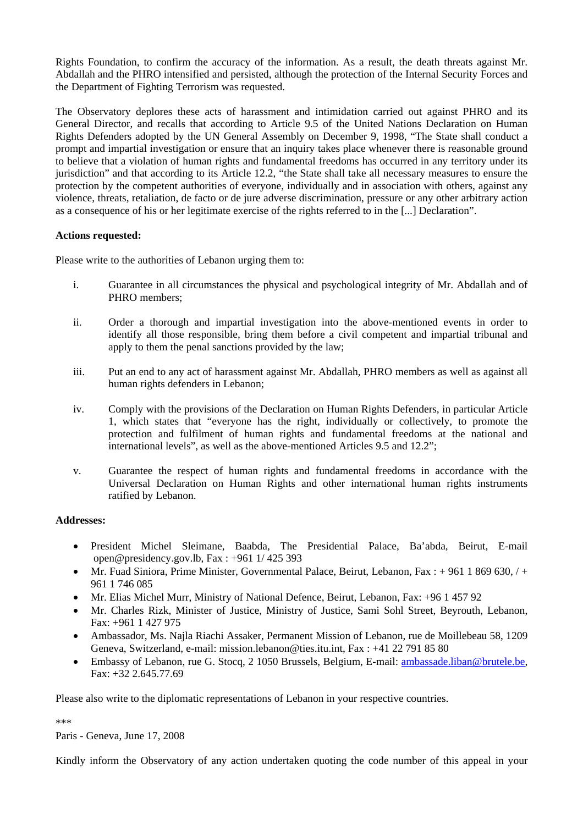Rights Foundation, to confirm the accuracy of the information. As a result, the death threats against Mr. Abdallah and the PHRO intensified and persisted, although the protection of the Internal Security Forces and the Department of Fighting Terrorism was requested.

The Observatory deplores these acts of harassment and intimidation carried out against PHRO and its General Director, and recalls that according to Article 9.5 of the United Nations Declaration on Human Rights Defenders adopted by the UN General Assembly on December 9, 1998, "The State shall conduct a prompt and impartial investigation or ensure that an inquiry takes place whenever there is reasonable ground to believe that a violation of human rights and fundamental freedoms has occurred in any territory under its jurisdiction" and that according to its Article 12.2, "the State shall take all necessary measures to ensure the protection by the competent authorities of everyone, individually and in association with others, against any violence, threats, retaliation, de facto or de jure adverse discrimination, pressure or any other arbitrary action as a consequence of his or her legitimate exercise of the rights referred to in the [...] Declaration".

#### **Actions requested:**

Please write to the authorities of Lebanon urging them to:

- i. Guarantee in all circumstances the physical and psychological integrity of Mr. Abdallah and of PHRO members;
- ii. Order a thorough and impartial investigation into the above-mentioned events in order to identify all those responsible, bring them before a civil competent and impartial tribunal and apply to them the penal sanctions provided by the law;
- iii. Put an end to any act of harassment against Mr. Abdallah, PHRO members as well as against all human rights defenders in Lebanon;
- iv. Comply with the provisions of the Declaration on Human Rights Defenders, in particular Article 1, which states that "everyone has the right, individually or collectively, to promote the protection and fulfilment of human rights and fundamental freedoms at the national and international levels", as well as the above-mentioned Articles 9.5 and 12.2";
- v. Guarantee the respect of human rights and fundamental freedoms in accordance with the Universal Declaration on Human Rights and other international human rights instruments ratified by Lebanon.

#### **Addresses:**

- President Michel Sleimane, Baabda, The Presidential Palace, Ba'abda, Beirut, E-mail open@presidency.gov.lb, Fax : +961 1/ 425 393
- Mr. Fuad Siniora, Prime Minister, Governmental Palace, Beirut, Lebanon, Fax: + 961 1 869 630,  $/ +$ 961 1 746 085
- Mr. Elias Michel Murr, Ministry of National Defence, Beirut, Lebanon, Fax: +96 1 457 92
- Mr. Charles Rizk, Minister of Justice, Ministry of Justice, Sami Sohl Street, Beyrouth, Lebanon, Fax: +961 1 427 975
- Ambassador, Ms. Najla Riachi Assaker, Permanent Mission of Lebanon, rue de Moillebeau 58, 1209 Geneva, Switzerland, e-mail: mission.lebanon@ties.itu.int, Fax : +41 22 791 85 80
- Embassy of Lebanon, rue G. Stocq, 2 1050 Brussels, Belgium, E-mail: ambassade.liban@brutele.be, Fax: +32 2.645.77.69

Please also write to the diplomatic representations of Lebanon in your respective countries.

\*\*\*

Paris - Geneva, June 17, 2008

Kindly inform the Observatory of any action undertaken quoting the code number of this appeal in your